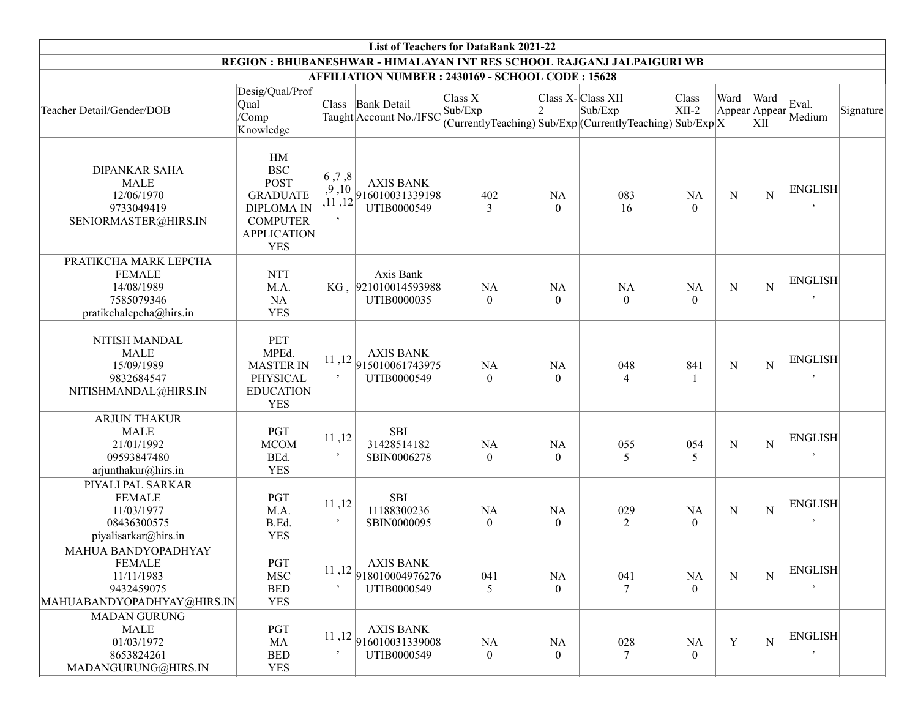| <b>List of Teachers for DataBank 2021-22</b>                                                   |                                                                                                                                |                    |                                                                                                                  |                      |                           |                                                                                             |                             |                       |             |                             |           |
|------------------------------------------------------------------------------------------------|--------------------------------------------------------------------------------------------------------------------------------|--------------------|------------------------------------------------------------------------------------------------------------------|----------------------|---------------------------|---------------------------------------------------------------------------------------------|-----------------------------|-----------------------|-------------|-----------------------------|-----------|
| REGION : BHUBANESHWAR - HIMALAYAN INT RES SCHOOL RAJGANJ JALPAIGURI WB                         |                                                                                                                                |                    |                                                                                                                  |                      |                           |                                                                                             |                             |                       |             |                             |           |
| AFFILIATION NUMBER : 2430169 - SCHOOL CODE : 15628                                             |                                                                                                                                |                    |                                                                                                                  |                      |                           |                                                                                             |                             |                       |             |                             |           |
| Teacher Detail/Gender/DOB                                                                      | Desig/Qual/Prof<br>Qual<br>/Comp<br>Knowledge                                                                                  |                    | Class Bank Detail<br>Taught Account No./IFSC                                                                     | Class X<br>Sub/Exp   | 12                        | Class X-Class XII<br>Sub/Exp<br>$(CurrentlyTeaching) Sub/Exp (CurrentlyTeaching) Sub/Exp X$ | Class<br>$XII-2$            | Ward<br>Appear Appear | Ward<br>XII | Eval.<br>Medium             | Signature |
| <b>DIPANKAR SAHA</b><br><b>MALE</b><br>12/06/1970<br>9733049419<br>SENIORMASTER@HIRS.IN        | HM<br><b>BSC</b><br><b>POST</b><br><b>GRADUATE</b><br><b>DIPLOMA IN</b><br><b>COMPUTER</b><br><b>APPLICATION</b><br><b>YES</b> | 6, 7, 8<br>$\cdot$ | <b>AXIS BANK</b><br>$\left  \begin{array}{cc} 1.7111 \\ 1.11 \end{array} \right  916010031339198$<br>UTIB0000549 | 402<br>3             | <b>NA</b><br>$\theta$     | 083<br>16                                                                                   | <b>NA</b><br>$\theta$       | ${\bf N}$             | N           | <b>ENGLISH</b>              |           |
| PRATIKCHA MARK LEPCHA<br><b>FEMALE</b><br>14/08/1989<br>7585079346<br>pratikchalepcha@hirs.in  | <b>NTT</b><br>M.A.<br><b>NA</b><br><b>YES</b>                                                                                  |                    | Axis Bank<br>KG, 921010014593988<br>UTIB0000035                                                                  | NA<br>$\overline{0}$ | <b>NA</b><br>$\mathbf{0}$ | <b>NA</b><br>$\overline{0}$                                                                 | <b>NA</b><br>$\theta$       | $\mathbf N$           | N           | <b>ENGLISH</b><br>$\cdot$   |           |
| NITISH MANDAL<br><b>MALE</b><br>15/09/1989<br>9832684547<br>NITISHMANDAL@HIRS.IN               | <b>PET</b><br>MPEd.<br><b>MASTER IN</b><br>PHYSICAL<br><b>EDUCATION</b><br><b>YES</b>                                          | $\,$               | <b>AXIS BANK</b><br>$11,12$ $ 915010061743975 $<br>UTIB0000549                                                   | NA<br>$\theta$       | <b>NA</b><br>$\theta$     | 048<br>4                                                                                    | 841                         | ${\bf N}$             | N           | <b>ENGLISH</b>              |           |
| <b>ARJUN THAKUR</b><br><b>MALE</b><br>21/01/1992<br>09593847480<br>arjunthakur@hirs.in         | PGT<br><b>MCOM</b><br>BEd.<br><b>YES</b>                                                                                       | 11,12<br>$\cdot$   | <b>SBI</b><br>31428514182<br>SBIN0006278                                                                         | NA<br>$\theta$       | <b>NA</b><br>$\theta$     | 055<br>5                                                                                    | 054<br>5                    | ${\bf N}$             | $\mathbf N$ | <b>ENGLISH</b><br>$\cdot$   |           |
| PIYALI PAL SARKAR<br><b>FEMALE</b><br>11/03/1977<br>08436300575<br>piyalisarkar@hirs.in        | PGT<br>M.A.<br>B.Ed.<br><b>YES</b>                                                                                             | 11,12<br>$\,$      | <b>SBI</b><br>11188300236<br>SBIN0000095                                                                         | NA<br>$\overline{0}$ | <b>NA</b><br>$\mathbf{0}$ | 029<br>2                                                                                    | <b>NA</b><br>$\overline{0}$ | ${\bf N}$             | N           | <b>ENGLISH</b><br>$\cdot$   |           |
| MAHUA BANDYOPADHYAY<br><b>FEMALE</b><br>11/11/1983<br>9432459075<br>MAHUABANDYOPADHYAY@HIRS.IN | $\operatorname{PGT}$<br><b>MSC</b><br><b>BED</b><br><b>YES</b>                                                                 | 11,12<br>$\cdot$   | <b>AXIS BANK</b><br>918010004976276<br>UTIB0000549                                                               | 041<br>5             | NA<br>$\theta$            | 041<br>7                                                                                    | NA<br>$\theta$              | ${\bf N}$             | N           | <b>ENGLISH</b><br>$\cdot$   |           |
| <b>MADAN GURUNG</b><br><b>MALE</b><br>01/03/1972<br>8653824261<br>MADANGURUNG@HIRS.IN          | PGT<br>MA<br><b>BED</b><br><b>YES</b>                                                                                          | $\cdot$            | <b>AXIS BANK</b><br>$11,12$ 916010031339008<br>UTIB0000549                                                       | NA<br>$\overline{0}$ | NA<br>$\overline{0}$      | 028<br>7                                                                                    | <b>NA</b><br>$\Omega$       | Y                     | ${\bf N}$   | <b>ENGLISH</b><br>$\bullet$ |           |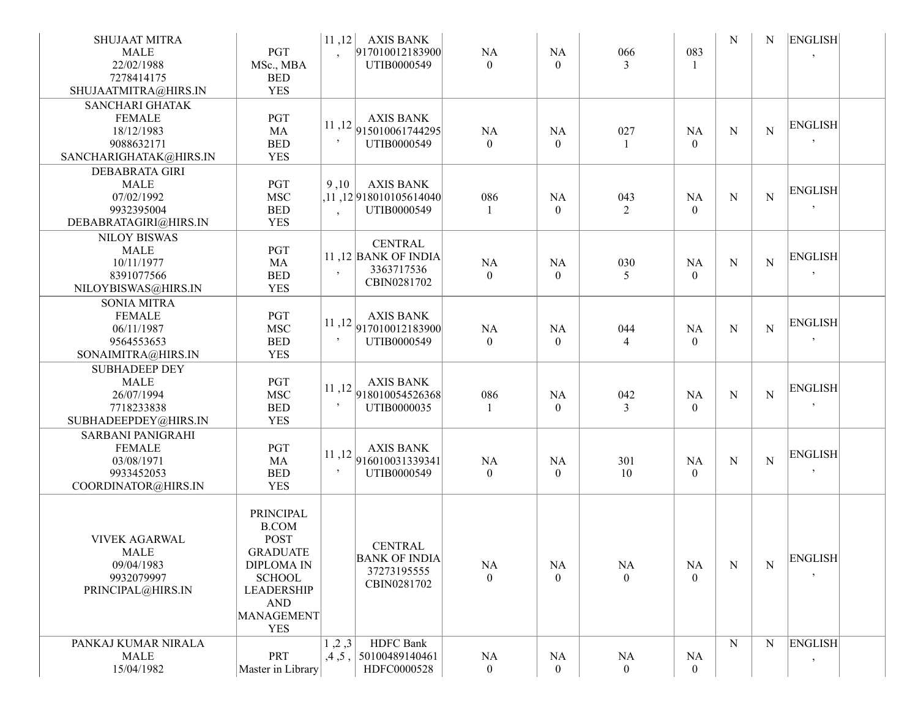| <b>SHUJAAT MITRA</b><br><b>MALE</b><br>22/02/1988<br>7278414175<br>SHUJAATMITRA@HIRS.IN       | PGT<br>MSc., MBA<br><b>BED</b><br><b>YES</b>                                                                                                                            | 11,12 <br>$\ddot{\phantom{1}}$ | <b>AXIS BANK</b><br>917010012183900<br>UTIB0000549                                | NA<br>$\theta$              | NA<br>$\theta$        | 066<br>3              | 083<br>$\mathbf{1}$       | N         | N           | <b>ENGLISH</b><br>$\cdot$ |
|-----------------------------------------------------------------------------------------------|-------------------------------------------------------------------------------------------------------------------------------------------------------------------------|--------------------------------|-----------------------------------------------------------------------------------|-----------------------------|-----------------------|-----------------------|---------------------------|-----------|-------------|---------------------------|
| <b>SANCHARI GHATAK</b><br><b>FEMALE</b><br>18/12/1983<br>9088632171<br>SANCHARIGHATAK@HIRS.IN | <b>PGT</b><br>MA<br><b>BED</b><br><b>YES</b>                                                                                                                            | 11,12<br>$\cdot$               | <b>AXIS BANK</b><br>915010061744295<br>UTIB0000549                                | NA<br>$\Omega$              | <b>NA</b><br>$\theta$ | 027<br>$\overline{1}$ | <b>NA</b><br>$\theta$     | N         | $\mathbf N$ | <b>ENGLISH</b><br>$\cdot$ |
| <b>DEBABRATA GIRI</b><br><b>MALE</b><br>07/02/1992<br>9932395004<br>DEBABRATAGIRI@HIRS.IN     | PGT<br><b>MSC</b><br><b>BED</b><br><b>YES</b>                                                                                                                           | 9,10<br>$\cdot$                | <b>AXIS BANK</b><br>,11 ,12 918010105614040<br>UTIB0000549                        | 086<br>-1                   | NA<br>$\theta$        | 043<br>$\overline{2}$ | NA<br>$\overline{0}$      | N         | $\mathbf N$ | <b>ENGLISH</b><br>$\cdot$ |
| <b>NILOY BISWAS</b><br><b>MALE</b><br>10/11/1977<br>8391077566<br>NILOYBISWAS@HIRS.IN         | PGT<br>MA<br><b>BED</b><br><b>YES</b>                                                                                                                                   | $\cdot$                        | <b>CENTRAL</b><br>11,12 BANK OF INDIA<br>3363717536<br>CBIN0281702                | NA<br>$\theta$              | NA<br>$\theta$        | 030<br>5              | <b>NA</b><br>$\theta$     | ${\bf N}$ | $\mathbf N$ | <b>ENGLISH</b><br>$\cdot$ |
| <b>SONIA MITRA</b><br><b>FEMALE</b><br>06/11/1987<br>9564553653<br>SONAIMITRA@HIRS.IN         | PGT<br><b>MSC</b><br><b>BED</b><br><b>YES</b>                                                                                                                           | $\cdot$                        | <b>AXIS BANK</b><br>$11,12$ 917010012183900<br>UTIB0000549                        | NA<br>$\theta$              | NA<br>$\theta$        | 044<br>4              | <b>NA</b><br>$\theta$     | N         | $\mathbf N$ | <b>ENGLISH</b><br>$\,$    |
| <b>SUBHADEEP DEY</b><br><b>MALE</b><br>26/07/1994<br>7718233838<br>SUBHADEEPDEY@HIRS.IN       | PGT<br><b>MSC</b><br><b>BED</b><br><b>YES</b>                                                                                                                           | $\bullet$                      | <b>AXIS BANK</b><br>$11,12$ 918010054526368<br>UTIB0000035                        | 086<br>-1                   | NA<br>$\mathbf{0}$    | 042<br>3              | <b>NA</b><br>$\mathbf{0}$ | N         | $\mathbf N$ | <b>ENGLISH</b><br>$\,$    |
| <b>SARBANI PANIGRAHI</b><br><b>FEMALE</b><br>03/08/1971<br>9933452053<br>COORDINATOR@HIRS.IN  | PGT<br>MA<br><b>BED</b><br><b>YES</b>                                                                                                                                   | $\bullet$                      | <b>AXIS BANK</b><br>$\left  \frac{11}{12} \right  916010031339341$<br>UTIB0000549 | NA<br>$\overline{0}$        | NA<br>$\overline{0}$  | 301<br>10             | NA<br>$\mathbf{0}$        | N         | $\mathbf N$ | <b>ENGLISH</b><br>$\cdot$ |
| <b>VIVEK AGARWAL</b><br><b>MALE</b><br>09/04/1983<br>9932079997<br>PRINCIPAL@HIRS.IN          | <b>PRINCIPAL</b><br><b>B.COM</b><br><b>POST</b><br><b>GRADUATE</b><br><b>DIPLOMA IN</b><br><b>SCHOOL</b><br><b>LEADERSHIP</b><br><b>AND</b><br>MANAGEMENT<br><b>YES</b> |                                | <b>CENTRAL</b><br><b>BANK OF INDIA</b><br>37273195555<br>CBIN0281702              | <b>NA</b><br>$\Omega$       | <b>NA</b><br>$\theta$ | NA<br>$\overline{0}$  | NA<br>$\overline{0}$      | N         | N           | <b>ENGLISH</b><br>$\cdot$ |
| PANKAJ KUMAR NIRALA<br><b>MALE</b><br>15/04/1982                                              | <b>PRT</b><br>Master in Library                                                                                                                                         | 1, 2, 3<br>,4,5,               | <b>HDFC</b> Bank<br>50100489140461<br>HDFC0000528                                 | <b>NA</b><br>$\overline{0}$ | NA<br>$\overline{0}$  | NA<br>$\overline{0}$  | NA<br>$\overline{0}$      | ${\bf N}$ | $\mathbf N$ | <b>ENGLISH</b><br>$\, ,$  |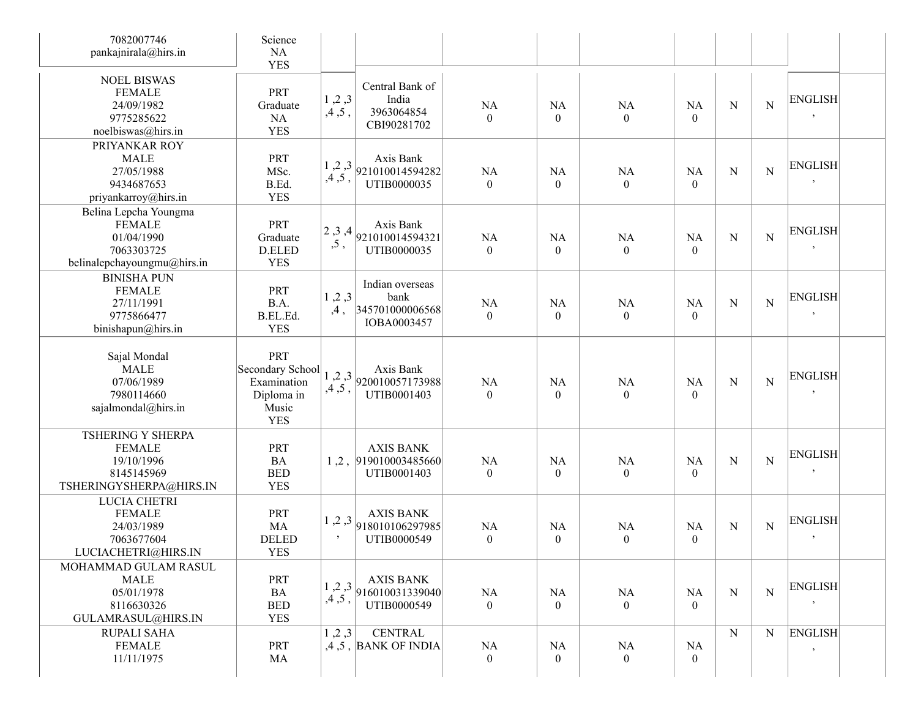| 7082007746<br>pankajnirala@hirs.in                                                                | Science<br>NA<br><b>YES</b>                                                 |                          |                                                            |                               |                             |                               |                               |             |                |                           |
|---------------------------------------------------------------------------------------------------|-----------------------------------------------------------------------------|--------------------------|------------------------------------------------------------|-------------------------------|-----------------------------|-------------------------------|-------------------------------|-------------|----------------|---------------------------|
| <b>NOEL BISWAS</b><br><b>FEMALE</b><br>24/09/1982<br>9775285622<br>noelbiswas@hirs.in             | PRT<br>Graduate<br>NA<br><b>YES</b>                                         | 1, 2, 3<br>,4,5,         | Central Bank of<br>India<br>3963064854<br>CBI90281702      | <b>NA</b><br>$\theta$         | <b>NA</b><br>$\theta$       | NA<br>$\mathbf{0}$            | <b>NA</b><br>$\theta$         | ${\bf N}$   | $\overline{N}$ | <b>ENGLISH</b><br>$\,$    |
| PRIYANKAR ROY<br><b>MALE</b><br>27/05/1988<br>9434687653<br>priyankarroy@hirs.in                  | PRT<br>MSc.<br>B.Ed.<br><b>YES</b>                                          | 1, 2, 3<br>$,4$ ,<br>5 , | Axis Bank<br>921010014594282<br>UTIB0000035                | <b>NA</b><br>$\overline{0}$   | <b>NA</b><br>$\overline{0}$ | NA<br>$\mathbf{0}$            | <b>NA</b><br>$\theta$         | $\mathbf N$ | N              | <b>ENGLISH</b><br>$\,$    |
| Belina Lepcha Youngma<br><b>FEMALE</b><br>01/04/1990<br>7063303725<br>belinalepchayoungmu@hirs.in | PRT<br>Graduate<br>D.ELED<br><b>YES</b>                                     | 2,3,4<br>, 5,            | Axis Bank<br>921010014594321<br>UTIB0000035                | <b>NA</b><br>$\boldsymbol{0}$ | <b>NA</b><br>$\overline{0}$ | NA<br>$\boldsymbol{0}$        | <b>NA</b><br>$\overline{0}$   | ${\bf N}$   | $\overline{N}$ | <b>ENGLISH</b><br>$\cdot$ |
| <b>BINISHA PUN</b><br><b>FEMALE</b><br>27/11/1991<br>9775866477<br>binishapun@hirs.in             | PRT<br>B.A.<br>B.EL.Ed.<br><b>YES</b>                                       | 1, 2, 3<br>,4,           | Indian overseas<br>bank<br>345701000006568<br>IOBA0003457  | <b>NA</b><br>$\theta$         | <b>NA</b><br>$\overline{0}$ | <b>NA</b><br>$\overline{0}$   | NA<br>$\overline{0}$          | ${\bf N}$   | $\overline{N}$ | <b>ENGLISH</b><br>$\,$    |
| Sajal Mondal<br><b>MALE</b><br>07/06/1989<br>7980114660<br>sajalmondal@hirs.in                    | PRT<br>Secondary School<br>Examination<br>Diploma in<br>Music<br><b>YES</b> | 1, 2, 3<br>$,4$ ,<br>5 , | Axis Bank<br>920010057173988<br>UTIB0001403                | NA<br>$\theta$                | <b>NA</b><br>$\theta$       | <b>NA</b><br>$\overline{0}$   | <b>NA</b><br>$\theta$         | ${\bf N}$   | $\overline{N}$ | <b>ENGLISH</b><br>$\cdot$ |
| <b>TSHERING Y SHERPA</b><br><b>FEMALE</b><br>19/10/1996<br>8145145969<br>TSHERINGYSHERPA@HIRS.IN  | PRT<br><b>BA</b><br><b>BED</b><br><b>YES</b>                                |                          | <b>AXIS BANK</b><br>1, 2,  919010003485660 <br>UTIB0001403 | <b>NA</b><br>$\overline{0}$   | <b>NA</b><br>$\overline{0}$ | <b>NA</b><br>$\boldsymbol{0}$ | <b>NA</b><br>$\overline{0}$   | N           | $\overline{N}$ | <b>ENGLISH</b><br>$\cdot$ |
| LUCIA CHETRI<br><b>FEMALE</b><br>24/03/1989<br>7063677604<br>LUCIACHETRI@HIRS.IN                  | PRT<br>MA<br><b>DELED</b><br>YES                                            | 1, 2, 3<br>$\,$          | <b>AXIS BANK</b><br>918010106297985<br>UTIB0000549         | <b>NA</b><br>$\boldsymbol{0}$ | <b>NA</b><br>$\overline{0}$ | <b>NA</b><br>$\mathbf{0}$     | <b>NA</b><br>$\boldsymbol{0}$ | N           | N              | <b>ENGLISH</b><br>$\cdot$ |
| MOHAMMAD GULAM RASUL<br>MALE<br>05/01/1978<br>8116630326<br>GULAMRASUL@HIRS.IN                    | <b>PRT</b><br>BA<br><b>BED</b><br><b>YES</b>                                | 1, 2, 3<br>,4,5,         | <b>AXIS BANK</b><br>916010031339040<br>UTIB0000549         | NA<br>$\overline{0}$          | <b>NA</b><br>$\overline{0}$ | NA<br>$\overline{0}$          | NA<br>$\overline{0}$          | $\mathbf N$ | $\mathbf N$    | <b>ENGLISH</b><br>$\,$    |
| RUPALI SAHA<br><b>FEMALE</b><br>11/11/1975                                                        | PRT<br>MA                                                                   | 1, 2, 3                  | <b>CENTRAL</b><br>$,4,5$ , BANK OF INDIA                   | NA<br>$\overline{0}$          | NA<br>$\overline{0}$        | NA<br>$\overline{0}$          | NA<br>$\overline{0}$          | N           | N              | <b>ENGLISH</b><br>$\cdot$ |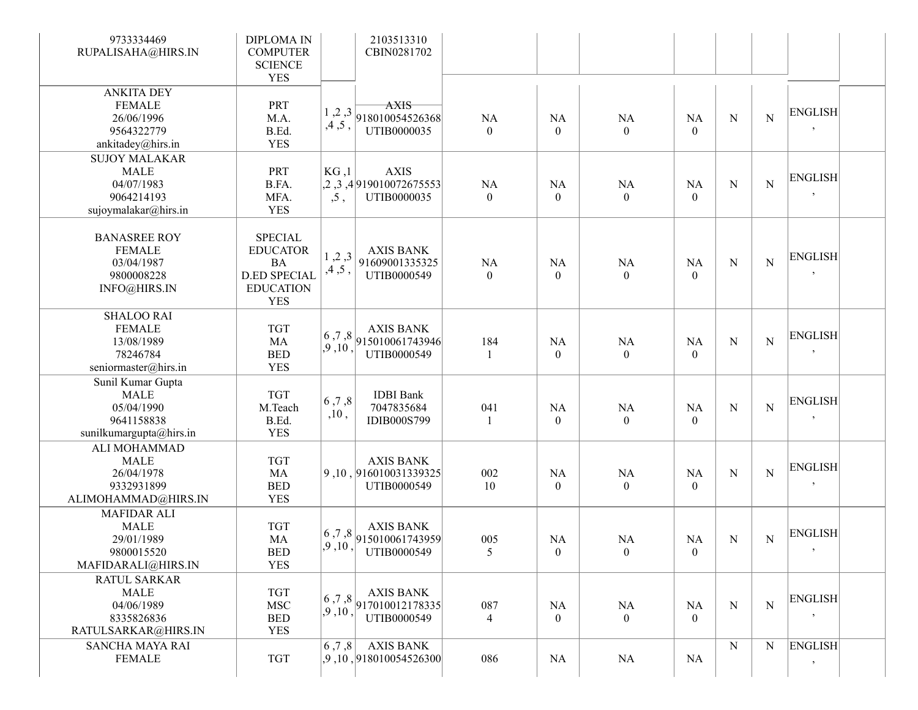| 9733334469<br>RUPALISAHA@HIRS.IN                                                        | <b>DIPLOMA IN</b><br><b>COMPUTER</b><br><b>SCIENCE</b><br><b>YES</b>                                    |                   | 2103513310<br>CBIN0281702                                                                |                             |                             |                            |                             |           |             |                           |
|-----------------------------------------------------------------------------------------|---------------------------------------------------------------------------------------------------------|-------------------|------------------------------------------------------------------------------------------|-----------------------------|-----------------------------|----------------------------|-----------------------------|-----------|-------------|---------------------------|
| <b>ANKITA DEY</b><br><b>FEMALE</b><br>26/06/1996<br>9564322779<br>ankitadey@hirs.in     | PRT<br>M.A.<br>B.Ed.<br><b>YES</b>                                                                      | 1, 2, 3<br>,4,5,  | <b>AXIS</b><br>918010054526368<br>UTIB0000035                                            | NA<br>$\theta$              | NA<br>$\theta$              | NA<br>$\theta$             | <b>NA</b><br>$\theta$       | N         | $\mathbf N$ | <b>ENGLISH</b><br>$\cdot$ |
| <b>SUJOY MALAKAR</b><br><b>MALE</b><br>04/07/1983<br>9064214193<br>sujoymalakar@hirs.in | PRT<br>B.FA.<br>MFA.<br><b>YES</b>                                                                      | KG, 1<br>, 5,     | <b>AXIS</b><br>,2,3,4 919010072675553 <br>UTIB0000035                                    | <b>NA</b><br>$\overline{0}$ | <b>NA</b><br>$\overline{0}$ | NA<br>$\overline{0}$       | <b>NA</b><br>$\overline{0}$ | N         | $\mathbf N$ | <b>ENGLISH</b><br>$\cdot$ |
| <b>BANASREE ROY</b><br><b>FEMALE</b><br>03/04/1987<br>9800008228<br>INFO@HIRS.IN        | <b>SPECIAL</b><br><b>EDUCATOR</b><br><b>BA</b><br><b>D.ED SPECIAL</b><br><b>EDUCATION</b><br><b>YES</b> | 1, 2, 3<br>,4,5,  | <b>AXIS BANK</b><br>91609001335325<br>UTIB0000549                                        | NA<br>$\theta$              | NA<br>$\theta$              | NA<br>$\theta$             | <b>NA</b><br>$\overline{0}$ | N         | $\mathbf N$ | <b>ENGLISH</b><br>$\cdot$ |
| <b>SHALOO RAI</b><br><b>FEMALE</b><br>13/08/1989<br>78246784<br>seniormaster@hirs.in    | <b>TGT</b><br>MA<br><b>BED</b><br><b>YES</b>                                                            | 6, 7, 8<br>,9,10, | <b>AXIS BANK</b><br>915010061743946<br>UTIB0000549                                       | 184                         | <b>NA</b><br>$\theta$       | NA<br>$\overline{0}$       | <b>NA</b><br>$\overline{0}$ | N         | $\mathbf N$ | <b>ENGLISH</b><br>$\cdot$ |
| Sunil Kumar Gupta<br><b>MALE</b><br>05/04/1990<br>9641158838<br>sunilkumargupta@hirs.in | <b>TGT</b><br>M.Teach<br>B.Ed.<br><b>YES</b>                                                            | 6, 7, 8<br>,10,   | <b>IDBI</b> Bank<br>7047835684<br><b>IDIB000S799</b>                                     | 041<br>-1                   | <b>NA</b><br>$\theta$       | NA<br>$\overline{0}$       | <b>NA</b><br>$\theta$       | N         | $\mathbf N$ | <b>ENGLISH</b><br>$\,$    |
| ALI MOHAMMAD<br><b>MALE</b><br>26/04/1978<br>9332931899<br>ALIMOHAMMAD@HIRS.IN          | <b>TGT</b><br>MA<br><b>BED</b><br><b>YES</b>                                                            |                   | <b>AXIS BANK</b><br>9, 10, 916010031339325<br>UTIB0000549                                | 002<br>10                   | <b>NA</b><br>$\overline{0}$ | $\rm NA$<br>$\overline{0}$ | <b>NA</b><br>$\overline{0}$ | N         | $\mathbf N$ | <b>ENGLISH</b><br>$\,$    |
| <b>MAFIDAR ALI</b><br><b>MALE</b><br>29/01/1989<br>9800015520<br>MAFIDARALI@HIRS.IN     | <b>TGT</b><br>MA<br><b>BED</b><br><b>YES</b>                                                            | 6,7,8<br>.9.10.   | <b>AXIS BANK</b><br>915010061743959<br>UTIB0000549                                       | 005<br>5                    | NA<br>$\theta$              | NA<br>$\bf{0}$             | <b>NA</b><br>$\theta$       | N         | ${\bf N}$   | <b>ENGLISH</b>            |
| <b>RATUL SARKAR</b><br>MALE<br>04/06/1989<br>8335826836<br>RATULSARKAR@HIRS.IN          | <b>TGT</b><br><b>MSC</b><br><b>BED</b><br><b>YES</b>                                                    | ,9,10,            | AXIS BANK<br>$\left  \frac{6}{2}, \frac{7}{2}, 8 \right  917010012178335$<br>UTIB0000549 | 087<br>4                    | NA<br>$\overline{0}$        | NA<br>$\overline{0}$       | NA<br>$\overline{0}$        | N         | $\mathbf N$ | <b>ENGLISH</b><br>$\,$    |
| SANCHA MAYA RAI<br><b>FEMALE</b>                                                        | <b>TGT</b>                                                                                              | 6, 7, 8           | <b>AXIS BANK</b><br>,9,10,918010054526300                                                | 086                         | NA                          | NA                         | NA                          | ${\bf N}$ | ${\bf N}$   | <b>ENGLISH</b><br>$\,$    |